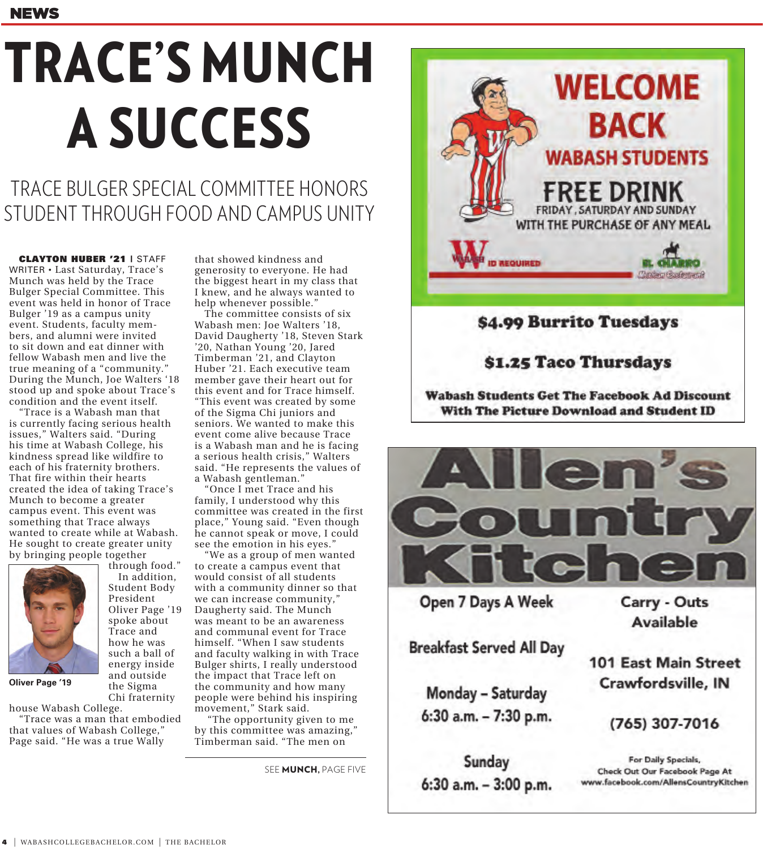# TRACE'S MUNCH A SUCCESS

TRACE BULGER SPECIAL COMMITTEE HONORS STUDENT THROUGH FOOD AND CAMPUS UNITY

CLAYTON HUBER '21 | STAFF WRITER • Last Saturday, Trace's Munch was held by the Trace Bulger Special Committee. This event was held in honor of Trace Bulger '19 as a campus unity event. Students, faculty members, and alumni were invited to sit down and eat dinner with fellow Wabash men and live the true meaning of a "community." During the Munch, Joe Walters '18 stood up and spoke about Trace's condition and the event itself.

"Trace is a Wabash man that is currently facing serious health issues," Walters said. "During his time at Wabash College, his kindness spread like wildfire to each of his fraternity brothers. That fire within their hearts created the idea of taking Trace's Munch to become a greater campus event. This event was something that Trace always wanted to create while at Wabash. He sought to create greater unity by bringing people together

> through food." In addition, Student Body President Oliver Page '19 spoke about Trace and how he was such a ball of energy inside and outside the Sigma Chi fraternity



**Oliver Page '19**

house Wabash College.

"Trace was a man that embodied that values of Wabash College," Page said. "He was a true Wally

that showed kindness and generosity to everyone. He had the biggest heart in my class that I knew, and he always wanted to help whenever possible."

The committee consists of six Wabash men: Joe Walters '18, David Daugherty '18, Steven Stark '20, Nathan Young '20, Jared Timberman '21, and Clayton Huber '21. Each executive team member gave their heart out for this event and for Trace himself. "This event was created by some of the Sigma Chi juniors and seniors. We wanted to make this event come alive because Trace is a Wabash man and he is facing a serious health crisis," Walters said. "He represents the values of a Wabash gentleman."

"Once I met Trace and his family, I understood why this committee was created in the first place," Young said. "Even though he cannot speak or move, I could see the emotion in his eyes."

"We as a group of men wanted to create a campus event that would consist of all students with a community dinner so that we can increase community," Daugherty said. The Munch was meant to be an awareness and communal event for Trace himself. "When I saw students and faculty walking in with Trace Bulger shirts, I really understood the impact that Trace left on the community and how many people were behind his inspiring movement," Stark said.

 "The opportunity given to me by this committee was amazing," Timberman said. "The men on

SEE **MUNCH**, PAGE FIVE



### \$4.99 Burrito Tuesdays

#### \$1.25 Taco Thursdays

**Wabash Students Get The Facebook Ad Discount** With The Picture Download and Student ID



Open 7 Days A Week

**Breakfast Served All Day** 

Monday - Saturday 6:30 a.m. - 7:30 p.m.

Sunday 6:30 a.m. - 3:00 p.m. Carry - Outs Available

**101 East Main Street** Crawfordsville, IN

(765) 307-7016

For Daily Specials, Check Out Our Facebook Page At www.facebook.com/AllensCountryKitchen